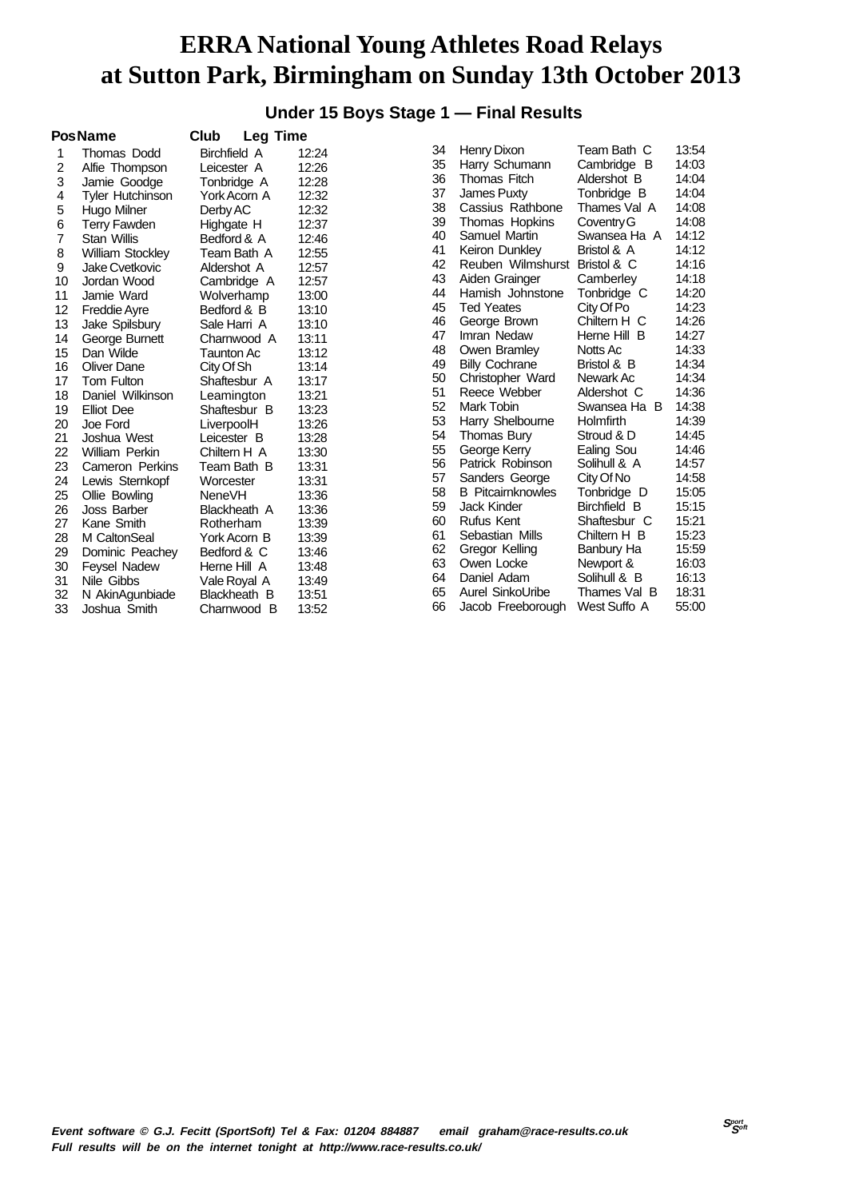#### **Under 15 Boys Stage 1 — Final Results**

|    | <b>PosName</b>          | Club          | <b>Leg Time</b> |       |    |                          |                     |       |
|----|-------------------------|---------------|-----------------|-------|----|--------------------------|---------------------|-------|
| 1  | Thomas Dodd             | Birchfield A  |                 | 12:24 | 34 | Henry Dixon              | Team Bath C         | 13:54 |
| 2  | Alfie Thompson          | Leicester A   |                 | 12:26 | 35 | Harry Schumann           | Cambridge B         | 14:03 |
| 3  | Jamie Goodge            | Tonbridge A   |                 | 12:28 | 36 | Thomas Fitch             | Aldershot B         | 14:04 |
| 4  | Tyler Hutchinson        | York Acorn A  |                 | 12:32 | 37 | James Puxty              | Tonbridge B         | 14:04 |
| 5  | Hugo Milner             | Derby AC      |                 | 12:32 | 38 | Cassius Rathbone         | Thames Val A        | 14:08 |
| 6  | <b>Terry Fawden</b>     | Highgate H    |                 | 12:37 | 39 | Thomas Hopkins           | Coventry G          | 14:08 |
| 7  | Stan Willis             | Bedford & A   |                 | 12:46 | 40 | Samuel Martin            | Swansea Ha A        | 14:12 |
| 8  | <b>William Stockley</b> |               | Team Bath A     | 12:55 | 41 | Keiron Dunkley           | Bristol & A         | 14:12 |
| 9  | <b>Jake Cvetkovic</b>   | Aldershot A   |                 | 12:57 | 42 | Reuben Wilmshurst        | Bristol & C         | 14:16 |
| 10 | Jordan Wood             |               | Cambridge A     | 12:57 | 43 | Aiden Grainger           | Camberley           | 14:18 |
| 11 | Jamie Ward              | Wolverhamp    |                 | 13:00 | 44 | Hamish Johnstone         | Tonbridge C         | 14:20 |
| 12 | <b>Freddie Ayre</b>     | Bedford & B   |                 | 13:10 | 45 | <b>Ted Yeates</b>        | City Of Po          | 14:23 |
| 13 | Jake Spilsbury          | Sale Harri A  |                 | 13:10 | 46 | George Brown             | Chiltern H C        | 14:26 |
| 14 | George Burnett          |               | Charnwood A     | 13:11 | 47 | Imran Nedaw              | Herne Hill B        | 14:27 |
| 15 | Dan Wilde               | Taunton Ac    |                 | 13:12 | 48 | Owen Bramley             | Notts Ac            | 14:33 |
| 16 | Oliver Dane             | City Of Sh    |                 | 13:14 | 49 | <b>Billy Cochrane</b>    | Bristol & B         | 14:34 |
| 17 | Tom Fulton              | Shaftesbur A  |                 | 13:17 | 50 | Christopher Ward         | Newark Ac           | 14:34 |
| 18 | Daniel Wilkinson        | Leamington    |                 | 13:21 | 51 | Reece Webber             | Aldershot C         | 14:36 |
| 19 | <b>Elliot</b> Dee       | Shaftesbur B  |                 | 13:23 | 52 | Mark Tobin               | Swansea Ha B        | 14:38 |
| 20 | Joe Ford                | LiverpoolH    |                 | 13:26 | 53 | Harry Shelbourne         | Holmfirth           | 14:39 |
| 21 | Joshua West             | Leicester B   |                 | 13:28 | 54 | Thomas Bury              | Stroud & D          | 14:45 |
| 22 | William Perkin          | Chiltern H A  |                 | 13:30 | 55 | George Kerry             | Ealing Sou          | 14:46 |
| 23 | Cameron Perkins         | Team Bath B   |                 | 13:31 | 56 | Patrick Robinson         | Solihull & A        | 14:57 |
| 24 | Lewis Sternkopf         | Worcester     |                 | 13:31 | 57 | Sanders George           | City Of No          | 14:58 |
| 25 | Ollie Bowling           | <b>NeneVH</b> |                 | 13:36 | 58 | <b>B</b> Pitcairnknowles | Tonbridge D         | 15:05 |
| 26 | Joss Barber             | Blackheath A  |                 | 13:36 | 59 | Jack Kinder              | <b>Birchfield B</b> | 15:15 |
| 27 | Kane Smith              | Rotherham     |                 | 13:39 | 60 | <b>Rufus Kent</b>        | Shaftesbur C        | 15:21 |
| 28 | M CaltonSeal            | York Acorn B  |                 | 13:39 | 61 | Sebastian Mills          | Chiltern H B        | 15:23 |
| 29 | Dominic Peachey         | Bedford & C   |                 | 13:46 | 62 | Gregor Kelling           | Banbury Ha          | 15:59 |
| 30 | <b>Feysel Nadew</b>     | Herne Hill A  |                 | 13:48 | 63 | Owen Locke               | Newport &           | 16:03 |
| 31 | Nile Gibbs              | Vale Royal A  |                 | 13:49 | 64 | Daniel Adam              | Solihull & B        | 16:13 |
| 32 | N AkinAgunbiade         | Blackheath B  |                 | 13:51 | 65 | Aurel SinkoUribe         | Thames Val B        | 18:31 |
| 33 | Joshua Smith            | Charnwood     | B               | 13:52 | 66 | Jacob Freeborough        | West Suffo A        | 55:00 |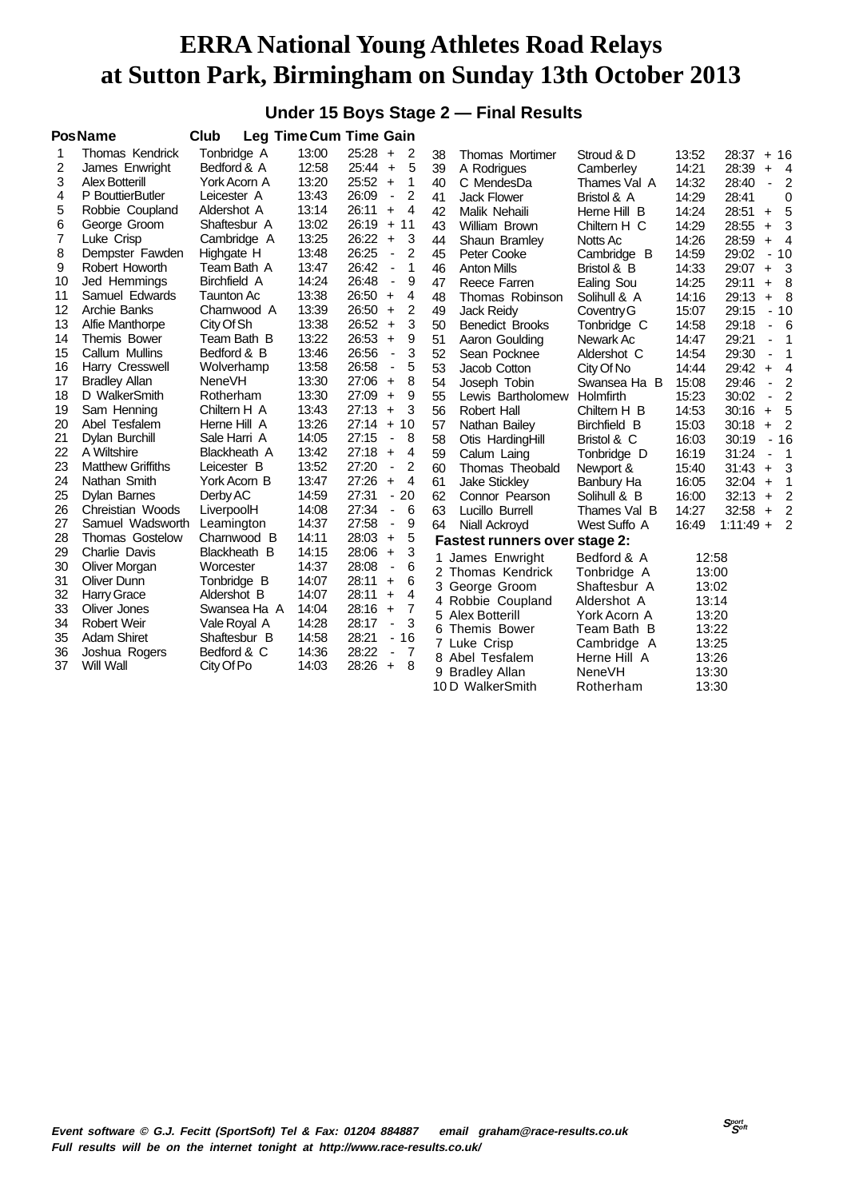#### **Under 15 Boys Stage 2 — Final Results**

|    | <b>PosName</b>           | <b>Club</b>         |       | Leg Time Cum Time Gain                     |    |                                      |               |       |                                           |  |
|----|--------------------------|---------------------|-------|--------------------------------------------|----|--------------------------------------|---------------|-------|-------------------------------------------|--|
| 1  | <b>Thomas Kendrick</b>   | Tonbridge A         | 13:00 | $25:28 +$<br>$\overline{2}$                | 38 | <b>Thomas Mortimer</b>               | Stroud & D    | 13:52 | 28:37<br>$+16$                            |  |
| 2  | James Enwright           | Bedford & A         | 12:58 | 5<br>$25:44 +$                             | 39 | A Rodrigues                          | Camberley     | 14:21 | 28:39<br>$+$<br>$\overline{4}$            |  |
| 3  | <b>Alex Botterill</b>    | York Acorn A        | 13:20 | 25:52<br>$\ddot{}$<br>1                    | 40 | C MendesDa                           | Thames Val A  | 14:32 | 2<br>28:40<br>$\blacksquare$              |  |
| 4  | P BouttierButler         | Leicester A         | 13:43 | 26:09<br>2<br>$\qquad \qquad \blacksquare$ | 41 | <b>Jack Flower</b>                   | Bristol & A   | 14:29 | 28:41<br>0                                |  |
| 5  | Robbie Coupland          | Aldershot A         | 13:14 | $\overline{4}$<br>26:11<br>$\ddot{}$       | 42 | Malik Nehaili                        | Herne Hill B  | 14:24 | 5<br>28:51<br>$+$                         |  |
| 6  | George Groom             | Shaftesbur A        | 13:02 | 26:19<br>$+$<br>11                         | 43 | William Brown                        | Chiltern H C  | 14:29 | 3<br>28:55<br>$+$                         |  |
| 7  | Luke Crisp               | Cambridge A         | 13:25 | 26:22<br>3<br>$\ddot{\phantom{1}}$         | 44 | Shaun Bramley                        | Notts Ac      | 14:26 | 28:59<br>$\overline{4}$<br>$\ddot{}$      |  |
| 8  | Dempster Fawden          | Highgate H          | 13:48 | 26:25<br>$\overline{2}$<br>$\blacksquare$  | 45 | Peter Cooke                          | Cambridge B   | 14:59 | 29:02<br>$-10$                            |  |
| 9  | Robert Howorth           | Team Bath A         | 13:47 | 26:42<br>1<br>÷,                           | 46 | <b>Anton Mills</b>                   | Bristol & B   | 14:33 | 29:07<br>- 3<br>$+$                       |  |
| 10 | Jed Hemmings             | <b>Birchfield A</b> | 14:24 | 26:48<br>9<br>÷                            | 47 | Reece Farren                         | Ealing Sou    | 14:25 | - 8<br>29:11<br>$+$                       |  |
| 11 | Samuel Edwards           | <b>Taunton Ac</b>   | 13:38 | 26:50<br>4<br>$\ddot{}$                    | 48 | Thomas Robinson                      | Solihull & A  | 14:16 | 29:13<br>- 8<br>$+$                       |  |
| 12 | Archie Banks             | Charnwood A         | 13:39 | 26:50<br>2<br>$\ddot{}$                    | 49 | <b>Jack Reidy</b>                    | Coventry G    | 15:07 | 29:15<br>$-10$                            |  |
| 13 | Alfie Manthorpe          | City Of Sh          | 13:38 | 3<br>26:52<br>$\ddot{}$                    | 50 | <b>Benedict Brooks</b>               | Tonbridge C   | 14:58 | 29:18<br>6                                |  |
| 14 | Themis Bower             | Team Bath B         | 13:22 | 26:53<br>9<br>$\ddot{}$                    | 51 | Aaron Goulding                       | Newark Ac     | 14:47 | 29:21<br>1<br>ä,                          |  |
| 15 | Callum Mullins           | Bedford & B         | 13:46 | 3<br>26:56<br>$\blacksquare$               | 52 | Sean Pocknee                         | Aldershot C   | 14:54 | 29:30<br>1<br>$\blacksquare$              |  |
| 16 | Harry Cresswell          | Wolverhamp          | 13:58 | 26:58<br>5<br>$\qquad \qquad \blacksquare$ | 53 | Jacob Cotton                         | City Of No    | 14:44 | $\overline{4}$<br>29:42<br>$\ddot{}$      |  |
| 17 | <b>Bradley Allan</b>     | <b>NeneVH</b>       | 13:30 | 27:06<br>8<br>$\ddot{}$                    | 54 | Joseph Tobin                         | Swansea Ha B  | 15:08 | $\overline{2}$<br>29:46<br>÷,             |  |
| 18 | D WalkerSmith            | Rotherham           | 13:30 | 27:09<br>9<br>$\ddot{\phantom{1}}$         | 55 | Lewis Bartholomew                    | Holmfirth     | 15:23 | $\overline{2}$<br>30:02<br>$\blacksquare$ |  |
| 19 | Sam Henning              | Chiltern H A        | 13:43 | 27:13<br>3<br>$\ddot{}$                    | 56 | <b>Robert Hall</b>                   | Chiltern H B  | 14:53 | - 5<br>30:16<br>$+$                       |  |
| 20 | Abel Tesfalem            | Herne Hill A        | 13:26 | $27:14 +$<br>10                            | 57 | Nathan Bailey                        | Birchfield B  | 15:03 | $\overline{2}$<br>30:18<br>$\ddot{}$      |  |
| 21 | Dylan Burchill           | Sale Harri A        | 14:05 | 27:15<br>8<br>$\overline{\phantom{a}}$     | 58 | Otis HardingHill                     | Bristol & C   | 16:03 | $-16$<br>30:19                            |  |
| 22 | A Wiltshire              | Blackheath A        | 13:42 | 27:18<br>4<br>$\ddot{}$                    | 59 | Calum Laing                          | Tonbridge D   | 16:19 | 31:24<br>$\overline{1}$<br>ä,             |  |
| 23 | <b>Matthew Griffiths</b> | Leicester B         | 13:52 | 27:20<br>2<br>$\overline{\phantom{a}}$     | 60 | Thomas Theobald                      | Newport &     | 15:40 | 3<br>31:43<br>$+$                         |  |
| 24 | Nathan Smith             | York Acorn B        | 13:47 | 27:26<br>$\overline{4}$<br>$\ddot{}$       | 61 | <b>Jake Stickley</b>                 | Banbury Ha    | 16:05 | 32:04<br>$\mathbf 1$<br>$\ddot{}$         |  |
| 25 | <b>Dylan Barnes</b>      | Derby AC            | 14:59 | 27:31<br>$-20$                             | 62 | Connor Pearson                       | Solihull & B  | 16:00 | $\overline{2}$<br>32:13<br>$+$            |  |
| 26 | Chreistian Woods         | LiverpoolH          | 14:08 | 27:34<br>6<br>$\blacksquare$               | 63 | Lucillo Burrell                      | Thames Val B  | 14:27 | $32:58 +$<br>$\overline{2}$               |  |
| 27 | Samuel Wadsworth         | Leamington          | 14:37 | 27:58<br>9<br>$\qquad \qquad \blacksquare$ | 64 | Niall Ackroyd                        | West Suffo A  | 16:49 | $\overline{2}$<br>$1:11:49 +$             |  |
| 28 | <b>Thomas Gostelow</b>   | Charnwood B         | 14:11 | 5<br>28:03<br>$\ddot{\phantom{1}}$         |    | <b>Fastest runners over stage 2:</b> |               |       |                                           |  |
| 29 | Charlie Davis            | Blackheath B        | 14:15 | 3<br>28:06<br>$\ddot{}$                    | 1  | James Enwright                       | Bedford & A   | 12:58 |                                           |  |
| 30 | Oliver Morgan            | Worcester           | 14:37 | 6<br>28:08<br>$\blacksquare$               |    | 2 Thomas Kendrick                    | Tonbridge A   | 13:00 |                                           |  |
| 31 | Oliver Dunn              | Tonbridge B         | 14:07 | 28:11<br>6<br>$\ddot{}$                    |    | 3 George Groom                       | Shaftesbur A  | 13:02 |                                           |  |
| 32 | <b>Harry Grace</b>       | Aldershot B         | 14:07 | 4<br>28:11<br>$\ddot{}$                    |    | 4 Robbie Coupland                    | Aldershot A   | 13:14 |                                           |  |
| 33 | Oliver Jones             | Swansea Ha A        | 14:04 | $\overline{7}$<br>28:16<br>$+$             |    | 5 Alex Botterill                     | York Acorn A  | 13:20 |                                           |  |
| 34 | <b>Robert Weir</b>       | Vale Royal A        | 14:28 | 3<br>28:17<br>$\overline{\phantom{a}}$     |    | 6 Themis Bower                       | Team Bath B   | 13:22 |                                           |  |
| 35 | <b>Adam Shiret</b>       | Shaftesbur B        | 14:58 | 28:21<br>$-16$                             |    | 7 Luke Crisp                         | Cambridge A   | 13:25 |                                           |  |
| 36 | Joshua Rogers            | Bedford & C         | 14:36 | 28:22<br>7<br>$\qquad \qquad \blacksquare$ |    | 8 Abel Tesfalem                      | Herne Hill A  | 13:26 |                                           |  |
| 37 | Will Wall                | City Of Po          | 14:03 | 28:26<br>8<br>$\ddot{+}$                   | 9  | <b>Bradley Allan</b>                 | <b>NeneVH</b> | 13:30 |                                           |  |
|    |                          |                     |       |                                            |    | 10 D WalkerSmith                     | Rotherham     | 13:30 |                                           |  |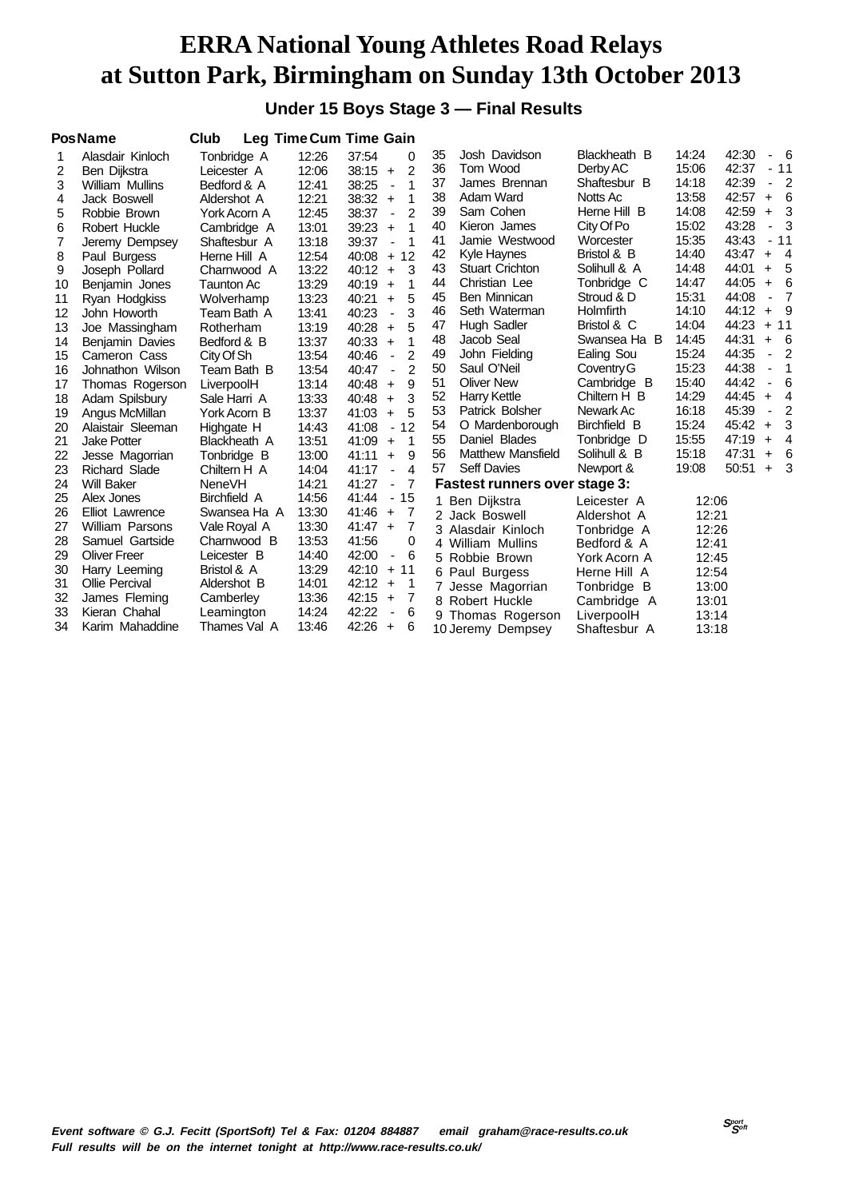#### **Under 15 Boys Stage 3 — Final Results**

|    | <b>PosName</b>         | Club              |       | Leg Time Cum Time Gain                    |    |                                      |              |       |       |                              |                        |
|----|------------------------|-------------------|-------|-------------------------------------------|----|--------------------------------------|--------------|-------|-------|------------------------------|------------------------|
|    | Alasdair Kinloch       | Tonbridge A       | 12:26 | 37:54<br>0                                | 35 | Josh Davidson                        | Blackheath B | 14:24 | 42:30 |                              | 6                      |
| 2  | Ben Dijkstra           | Leicester A       | 12:06 | $\mathcal{P}$<br>38:15<br>$\ddot{}$       | 36 | Tom Wood                             | Derby AC     | 15:06 | 42:37 | $\overline{\phantom{a}}$     | 11                     |
| 3  | <b>William Mullins</b> | Bedford & A       | 12:41 | 38:25<br>1<br>$\overline{\phantom{a}}$    | 37 | James Brennan                        | Shaftesbur B | 14:18 | 42:39 | $\overline{\phantom{a}}$     | $\overline{2}$         |
| 4  | Jack Boswell           | Aldershot A       | 12:21 | 38:32<br>1<br>$+$                         | 38 | Adam Ward                            | Notts Ac     | 13:58 | 42:57 | $\ddot{}$                    | 6                      |
| 5  | Robbie Brown           | York Acorn A      | 12:45 | 38:37<br>$\overline{2}$<br>$\blacksquare$ | 39 | Sam Cohen                            | Herne Hill B | 14:08 | 42:59 | $+$                          | 3                      |
| 6  | Robert Huckle          | Cambridge A       | 13:01 | 39:23<br>1<br>$\ddot{}$                   | 40 | Kieron James                         | City Of Po   | 15:02 | 43:28 | $\blacksquare$               | 3                      |
| 7  | Jeremy Dempsey         | Shaftesbur A      | 13:18 | 39:37<br>1                                | 41 | Jamie Westwood                       | Worcester    | 15:35 | 43:43 |                              | $-11$                  |
| 8  | Paul Burgess           | Herne Hill A      | 12:54 | 40:08<br>12<br>$\ddot{}$                  | 42 | Kyle Haynes                          | Bristol & B  | 14:40 | 43:47 | $\ddot{}$                    | $\boldsymbol{\Lambda}$ |
| 9  | Joseph Pollard         | Charnwood A       | 13:22 | 40:12<br>3<br>$\ddot{}$                   | 43 | <b>Stuart Crichton</b>               | Solihull & A | 14:48 | 44:01 | $\ddot{}$                    | 5                      |
| 10 | Benjamin Jones         | <b>Taunton Ac</b> | 13:29 | 40:19<br>1<br>$\ddot{}$                   | 44 | Christian Lee                        | Tonbridge C  | 14:47 | 44:05 | $\ddot{}$                    | 6                      |
| 11 | Ryan Hodgkiss          | Wolverhamp        | 13:23 | 40:21<br>5<br>$\ddot{}$                   | 45 | Ben Minnican                         | Stroud & D   | 15:31 | 44:08 | $\overline{\phantom{a}}$     | 7                      |
| 12 | John Howorth           | Team Bath A       | 13:41 | 40:23<br>3<br>$\overline{\phantom{m}}$    | 46 | Seth Waterman                        | Holmfirth    | 14:10 | 44:12 | $+$                          | 9                      |
| 13 | Joe Massingham         | Rotherham         | 13:19 | 40:28<br>5<br>$\ddot{}$                   | 47 | <b>Hugh Sadler</b>                   | Bristol & C  | 14:04 | 44:23 |                              | $+ 11$                 |
| 14 | Benjamin Davies        | Bedford & B       | 13:37 | 40:33<br>1<br>$\ddot{}$                   | 48 | Jacob Seal                           | Swansea Ha B | 14:45 | 44:31 | $\ddot{}$                    | -6                     |
| 15 | Cameron Cass           | City Of Sh        | 13:54 | $\mathcal{P}$<br>40:46<br>ä,              | 49 | John Fielding                        | Ealing Sou   | 15:24 | 44:35 | $\overline{\phantom{a}}$     | $\overline{2}$         |
| 16 | Johnathon Wilson       | Team Bath B       | 13:54 | $\overline{2}$<br>40:47<br>ä,             | 50 | Saul O'Neil                          | Coventry G   | 15:23 | 44:38 | $\overline{\phantom{a}}$     | 1                      |
| 17 | Thomas Rogerson        | LiverpoolH        | 13:14 | 40:48<br>9<br>$\ddot{}$                   | 51 | <b>Oliver New</b>                    | Cambridge B  | 15:40 | 44:42 | ä,                           | 6                      |
| 18 | Adam Spilsbury         | Sale Harri A      | 13:33 | 3<br>40:48<br>$\ddot{}$                   | 52 | <b>Harry Kettle</b>                  | Chiltern H B | 14:29 | 44:45 | $+$                          | 4                      |
| 19 | Angus McMillan         | York Acorn B      | 13:37 | 41:03<br>5<br>$\ddot{}$                   | 53 | Patrick Bolsher                      | Newark Ac    | 16:18 | 45:39 | $\qquad \qquad \blacksquare$ | 2                      |
| 20 | Alaistair Sleeman      | Highgate H        | 14:43 | 12<br>41:08<br>$\overline{\phantom{a}}$   | 54 | O Mardenborough                      | Birchfield B | 15:24 | 45:42 | $\ddot{}$                    | 3                      |
| 21 | <b>Jake Potter</b>     | Blackheath A      | 13:51 | 41:09<br>1<br>$+$                         | 55 | Daniel Blades                        | Tonbridge D  | 15:55 | 47:19 | $\ddot{}$                    | 4                      |
| 22 | Jesse Magorrian        | Tonbridge B       | 13:00 | 41:11<br>9<br>$\ddot{}$                   | 56 | <b>Matthew Mansfield</b>             | Solihull & B | 15:18 | 47:31 | $\ddot{}$                    | 6                      |
| 23 | <b>Richard Slade</b>   | Chiltern H A      | 14:04 | 41:17<br>4                                | 57 | <b>Seff Davies</b>                   | Newport &    | 19:08 | 50:51 | $+$                          | 3                      |
| 24 | <b>Will Baker</b>      | <b>NeneVH</b>     | 14:21 | 41:27<br>7                                |    | <b>Fastest runners over stage 3:</b> |              |       |       |                              |                        |
| 25 | Alex Jones             | Birchfield A      | 14:56 | 15<br>41:44<br>$\overline{\phantom{a}}$   |    | 1 Ben Dijkstra                       | Leicester A  | 12:06 |       |                              |                        |
| 26 | <b>Elliot Lawrence</b> | Swansea Ha A      | 13:30 | 41:46<br>-7<br>$\ddot{}$                  |    | 2 Jack Boswell                       | Aldershot A  | 12:21 |       |                              |                        |
| 27 | William Parsons        | Vale Royal A      | 13:30 | 7<br>41:47<br>$+$                         |    | 3 Alasdair Kinloch                   | Tonbridge A  | 12:26 |       |                              |                        |
| 28 | Samuel Gartside        | Charnwood B       | 13:53 | 41:56<br>0                                |    | 4 William Mullins                    | Bedford & A  | 12:41 |       |                              |                        |
| 29 | <b>Oliver Freer</b>    | Leicester B       | 14:40 | 42:00<br>6<br>$\overline{\phantom{a}}$    |    | 5 Robbie Brown                       | York Acorn A | 12:45 |       |                              |                        |
| 30 | Harry Leeming          | Bristol & A       | 13:29 | 42:10<br>11<br>$+$                        |    | 6 Paul Burgess                       | Herne Hill A | 12:54 |       |                              |                        |
| 31 | <b>Ollie Percival</b>  | Aldershot B       | 14:01 | 42:12<br>$\ddot{}$<br>-1                  |    | 7 Jesse Magorrian                    | Tonbridge B  | 13:00 |       |                              |                        |
| 32 | James Fleming          | Camberley         | 13:36 | 42:15<br>$\ddot{}$<br>7                   |    | 8 Robert Huckle                      | Cambridge A  | 13:01 |       |                              |                        |
| 33 | Kieran Chahal          | Leamington        | 14:24 | 42:22<br>6                                |    | 9 Thomas Rogerson                    | LiverpoolH   | 13:14 |       |                              |                        |
| 34 | Karim Mahaddine        | Thames Val A      | 13:46 | 42:26<br>6<br>$+$                         |    | 10 Jeremy Dempsey                    | Shaftesbur A | 13:18 |       |                              |                        |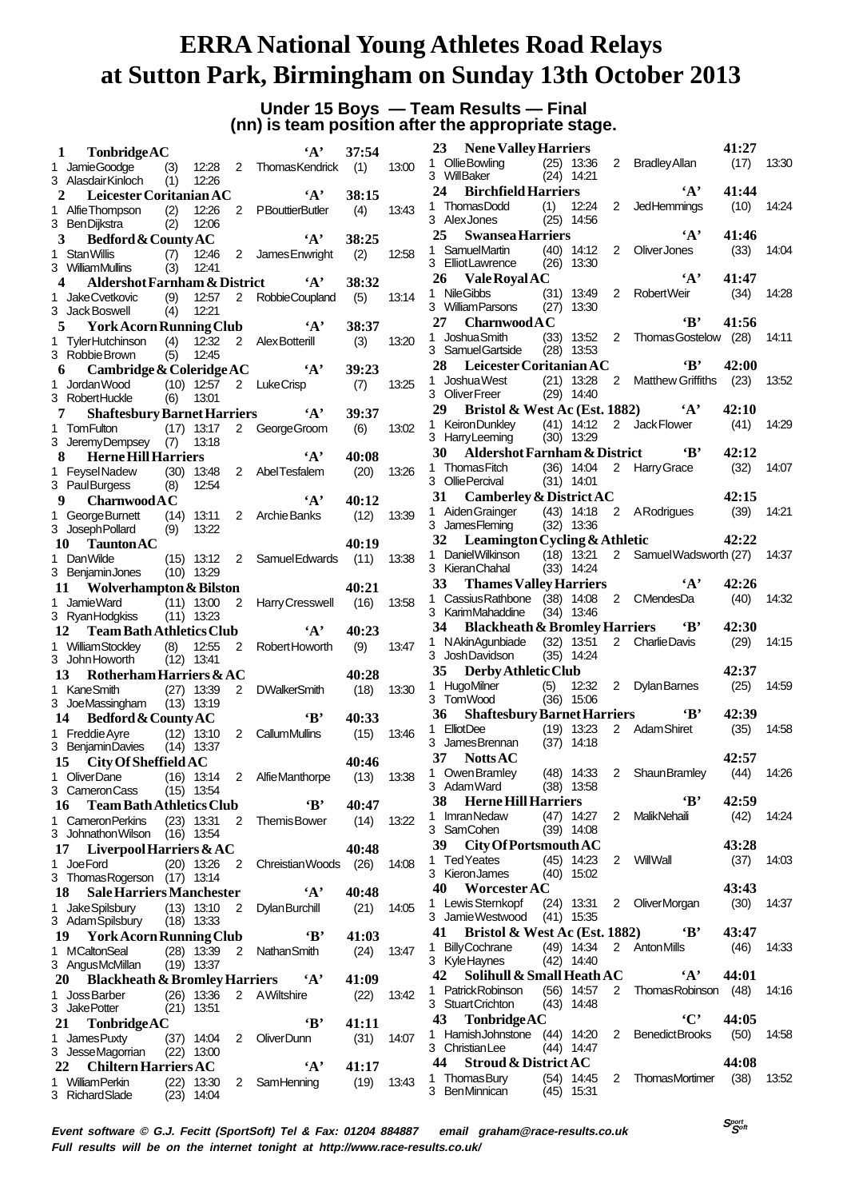# **Under 15 Boys — Team Results — Final (nn) is team position after the appropriate stage.**

| 1  | TonbridgeAC                                    |              |                |                | $\mathbf{A}$                    | 37:54         |       |
|----|------------------------------------------------|--------------|----------------|----------------|---------------------------------|---------------|-------|
|    | 1 Jamie Goodge                                 | (3)          | 12:28          | $\overline{2}$ | ThomasKendrick                  | (1)           | 13:00 |
|    | 3 Alasdair Kinloch                             | (1)          | 12:26          |                |                                 |               |       |
|    | 2 Leicester Coritanian AC                      |              |                |                | $\mathbf{A}$                    | 38:15         |       |
|    | 1 AlfieThompson (2)                            |              | 12:26          | $\overline{2}$ | <b>PBouttierButler</b>          | (4)           | 13:43 |
|    | 3 Ben Dijkstra                                 | (2)          | 12:06          |                | $\mathbf{A}$ ,                  |               |       |
| 3  | Bedford & County AC                            |              |                |                |                                 | 38:25         |       |
| 1. | <b>Stan Willis</b><br>3 WilliamMullins         | (7)<br>(3)   | 12:46<br>12:41 | $\overline{2}$ | James Enwright                  | (2)           | 12:58 |
|    | <b>Aldershot Farnham &amp; District</b><br>4   |              |                |                | $\mathbf{A}$                    | 38:32         |       |
| 1. | Jake Cvetkovic                                 | (9)          | 12:57          | 2              | RobbieCoupland                  | (5)           | 13:14 |
|    | 3 Jack Boswell                                 | (4)          | 12:21          |                |                                 |               |       |
|    | <b>York Acorn Running Club</b><br>5            |              |                |                | $4^{\circ}$                     | 38:37         |       |
| 1. | <b>TylerHutchinson</b>                         | (4)          | 12:32          | 2              | Alex Botterill                  | (3)           | 13:20 |
|    | 3 Robbie Brown                                 | (5)          | 12:45          |                |                                 |               |       |
| 6  | Cambridge & Coleridge AC                       |              |                |                | A                               | 39:23         |       |
| 1. | Jordan Wood (10) 12:57                         |              |                | 2              | <b>LukeCrisp</b>                | (7)           | 13:25 |
|    | 3 RobertHuckle                                 | (6)          | 13:01          |                |                                 |               |       |
|    | 7<br><b>Shaftesbury Barnet Harriers</b>        |              |                |                | $\mathbf{A}^{\bullet}$          | 39:37         |       |
|    | 1 Tom Fulton                                   | (17)         | 13:17          | $\overline{2}$ | George Groom                    | (6)           | 13:02 |
|    | 3 JeremyDempsey                                | (7)          | 13:18          |                |                                 |               |       |
|    | 8<br><b>Herne Hill Harriers</b>                |              |                |                | $\mathbf{A}$                    | 40:08         |       |
| 1. | Feysel Nadew                                   |              | $(30)$ 13:48   | 2              | AbelTesfalem                    | (20)          | 13:26 |
|    | 3 PaulBurgess                                  | (8)          | 12:54          |                |                                 |               |       |
| 9  | <b>Charnwood A C</b>                           |              |                |                | $\mathbf{A}$                    | 40:12         |       |
| 1. | George Burnett                                 |              | $(14)$ 13:11   | 2              | Archie Banks                    | (12)          | 13:39 |
|    | 3 Joseph Pollard                               | (9)          | 13:22          |                |                                 |               |       |
|    | 10<br><b>Taunton AC</b>                        |              |                |                |                                 | 40:19         |       |
|    | 1 DanWilde                                     |              | $(15)$ 13:12   | 2              | Samuel Edwards                  | (11)          | 13:38 |
|    | 3 BenjaminJones                                | $(10)$ 13:29 |                |                |                                 |               |       |
|    | 11 Wolverhampton & Bilston                     |              |                |                |                                 | 40:21         |       |
| 1  | Jamie Ward                                     |              | $(11)$ 13:00   | 2              | Harry Cresswell                 | (16)          | 13:58 |
|    | 3 RyanHodgkiss                                 | (11)         | 13:23          |                |                                 |               |       |
|    |                                                |              |                |                |                                 |               |       |
|    | <b>Team Bath Athletics Club</b><br>12          |              |                |                | $\mathbf{A}$                    | 40:23         |       |
|    | 1 WilliamStockley (8)                          |              | 12:55          | 2              | Robert Howorth                  | (9)           | 13:47 |
|    | 3 John Howorth                                 | $(12)$ 13:41 |                |                |                                 |               |       |
|    | Rotherham Harriers & AC<br>13                  |              |                |                |                                 | 40:28         |       |
|    | 1 KaneSmith                                    |              | $(27)$ 13:39   | $\overline{2}$ | <b>DWalkerSmith</b>             | (18)          | 13:30 |
|    | 3 JoeMassingham                                |              | $(13)$ 13:19   |                |                                 |               |       |
|    | Bedford & County AC<br>14                      |              |                |                | $\mathbf{B}$                    | 40:33         |       |
|    | 1 Freddie Ayre                                 |              | $(12)$ 13:10   | 2              | CallumMullins                   | (15)          | 13:46 |
|    | 3 BenjaminDavies                               |              | $(14)$ 13:37   |                |                                 |               |       |
|    | 15<br>City Of Sheffield AC                     |              |                |                |                                 | 40:46         |       |
| 1  | OliverDane                                     | (16)         | 13:14          | 2              | Alfie Manthorpe                 | (13)          | 13:38 |
|    | 3 Cameron Cass                                 | $(15)$ 13:54 |                |                |                                 |               |       |
|    | 16<br><b>Team Bath Athletics Club</b>          |              |                |                | 'В'                             | 40:47         |       |
|    | 1 Cameron Perkins                              | $(23)$ 13:31 |                | 2              | Themis Bower                    | (14)          | 13:22 |
|    | 3 Johnathon Wilson (16) 13:54                  |              |                |                |                                 |               |       |
|    | Liverpool Harriers $&AC$<br>17                 |              |                |                |                                 | 40:48         |       |
| 1  | Joe Ford                                       | (20)         | 13:26          | 2              | Chreistian Woods                | (26)          | 14:08 |
|    | 3 Thomas Rogerson (17)                         |              | 13:14          |                |                                 |               |       |
|    | 18<br><b>Sale Harriers Manchester</b>          |              |                |                | $\mathbf{A}$                    | 40:48         |       |
|    | 1 Jake Spilsbury                               |              | $(13)$ 13:10   | 2              | <b>Dylan Burchill</b>           | (21)          | 14:05 |
|    | 3 Adam Spilsbury                               |              | $(18)$ 13:33   |                |                                 |               |       |
|    | 19 York Acorn Running Club                     |              |                |                | $\bf{B}$                        | 41:03         |       |
|    | 1 MCaltonSeal                                  |              | $(28)$ 13:39   | $\overline{2}$ | Nathan Smith                    | (24)          | 13:47 |
|    | 3 AngusMcMillan                                | (19)         | 13:37          |                |                                 |               |       |
|    | 20<br><b>Blackheath &amp; Bromley Harriers</b> |              |                |                | $\mathbf{A}$                    | 41:09         |       |
|    | 1 Joss Barber                                  |              | $(26)$ 13:36   | $\overline{2}$ | <b>A</b> Wiltshire              | (22)          | 13:42 |
|    | 3 JakePotter                                   | (21)         | 13:51          |                |                                 |               |       |
|    | 21<br>TonbridgeAC                              |              |                |                | 'B'                             | 41:11         |       |
| 1. | James Puxty                                    |              | $(37)$ 14:04   | 2              | OliverDunn                      | (31)          | 14:07 |
|    | 3 JesseMagorrian                               |              | $(22)$ 13:00   |                |                                 |               |       |
|    | 22 Chiltern Harriers AC<br>1 William Perkin    |              | $(22)$ 13:30   | 2              | $\cdot$ A $\cdot$<br>SamHenning | 41:17<br>(19) | 13:43 |

|    | 23 Nene Valley Harriers                                                 |              |                |                |                                         | 41:27        |       |
|----|-------------------------------------------------------------------------|--------------|----------------|----------------|-----------------------------------------|--------------|-------|
|    | 1 OllieBowling (25) 13:36<br>3 WillBaker (24) 14:21<br>3 WillBaker      |              |                |                | 2 Bradley Allan                         | $(17)$ 13:30 |       |
|    | 24 Birchfield Harriers                                                  |              |                |                | $\mathbf{A}$ ,                          | 41:44        |       |
|    |                                                                         |              |                | 2              | JedHemmings                             | (10)         | 14:24 |
|    | 1 ThomasDodd (1) 12:24<br>3 AlexJones (25) 14:56                        |              |                |                |                                         |              |       |
|    | 25<br><b>Swansea Harriers</b>                                           |              |                |                | $\mathbf{A}$ ,                          | 41:46        |       |
|    | 1 SamuelMartin (40) 14:12                                               |              |                | $\overline{2}$ | Oliver Jones                            | (33)         | 14:04 |
|    | 3 Elliot Lawrence (26) 13:30                                            |              |                |                |                                         |              |       |
|    | 26 Vale Royal AC                                                        |              |                |                | $\mathbf{A}$ ,                          | 41:47        |       |
|    | $(31)$ 13:49<br>1 NileGibbs                                             |              |                | $\overline{2}$ | Robert Weir                             | (34)         | 14:28 |
|    | 3 William Parsons (27) 13:30                                            |              |                |                |                                         |              |       |
|    | 27 Charnwood A C                                                        |              |                |                | $\mathbf{B}$                            | 41:56        |       |
|    | 1 JoshuaSmith                                                           |              |                |                | (33) 13:52 2 Thomas Gostelow (28) 14:11 |              |       |
|    | 3 Samuel Gartside (28) 13:53                                            |              |                |                |                                         |              |       |
|    | 28 Leicester Coritanian AC                                              |              |                |                | $\mathbf{B}'$                           | 42:00        |       |
|    |                                                                         |              |                |                | 2 Matthew Griffiths (23)                |              |       |
|    | 1 Joshua West (21) 13:28<br>3 Oliver Freer (29) 14:40                   |              |                |                |                                         |              | 13:52 |
|    |                                                                         |              |                |                |                                         |              |       |
|    | 29 Bristol & West Ac (Est. 1882) $A'$                                   |              |                |                |                                         | 42:10        |       |
|    | 1 KeironDunkley (41) 14:12 2 Jack Flower                                |              |                |                |                                         | (41)         | 14:29 |
|    | 3 HarryLeeming (30) 13:29                                               |              |                |                |                                         |              |       |
|    | 30 Aldershot Farnham & District 'B'                                     |              |                |                |                                         | 42:12        |       |
|    | 1 Thomas Fitch (36) 14:04 2 Harry Grace                                 |              |                |                |                                         | (32)         | 14:07 |
|    | $3$ Ollie Percival $(31)$ 14:01                                         |              |                |                |                                         |              |       |
|    | 31 Camberley & District AC                                              |              |                |                |                                         | 42:15        |       |
|    | 1 Aiden Grainger (43) 14:18 2 A Rodrigues<br>3 James Fleming (32) 13:36 |              |                |                |                                         | (39)         | 14:21 |
|    |                                                                         |              |                |                |                                         |              |       |
|    | 32 Leamington Cycling & Athletic                                        |              |                |                |                                         | 42:22        |       |
|    | 1 Daniel Wilkinson (18) 13:21 2 Samuel Wadsworth (27) 14:37             |              |                |                |                                         |              |       |
|    | 3 Kieran Chahal                                                         |              | $(33)$ 14:24   |                |                                         |              |       |
|    | 33 <sup>3</sup><br><b>Thames Valley Harriers</b>                        |              |                |                | $\mathbf{A}$ ,                          | 42:26        |       |
|    | 1 Cassius Rathbone (38) 14:08                                           |              |                |                | 2 CMendesDa                             | (40)         | 14:32 |
|    | 3 KarimMahaddine                                                        |              | $(34)$ 13:46   |                |                                         |              |       |
|    |                                                                         |              |                |                |                                         |              |       |
|    |                                                                         |              |                |                |                                         |              |       |
|    | 34 Blackheath & Bromley Harriers 'B'                                    |              |                |                |                                         | 42:30        |       |
|    | 1 NAkinAgunbiade (32) 13:51                                             |              |                |                | 2 CharlieDavis                          | (29)         | 14:15 |
|    | 3 JoshDavidson                                                          |              | $(35)$ 14:24   |                |                                         |              |       |
|    | 35 Derby Athletic Club                                                  |              |                |                |                                         | 42:37        |       |
| 1  |                                                                         |              |                |                |                                         | (25)         | 14:59 |
|    | HugoMilner (5) 12:32 2 Dylan Barnes<br>Tom Wood (36) 15:06<br>3 TomWood |              |                |                |                                         |              |       |
|    | 36                                                                      |              |                |                | Shaftesbury Barnet Harriers <b>B</b>    | 42:39        |       |
|    |                                                                         |              |                |                | 2 Adam Shiret                           | (35)         | 14:58 |
|    | 1 ElliotDee (19) 13:23<br>3 JamesBrennan (37) 14:18                     |              |                |                |                                         |              |       |
|    | 37 NottsAC                                                              |              |                |                |                                         | 42:57        |       |
|    |                                                                         |              |                |                |                                         |              |       |
|    | 1 Owen Bramley (48) 14:33 2 Shaun Bramley (44) 14:26<br>3 AdamWard      |              |                |                |                                         |              |       |
|    |                                                                         |              | $(38)$ 13:58   |                | 'В'                                     | 42:59        |       |
|    | 38<br><b>Herne Hill Harriers</b>                                        |              |                |                |                                         |              |       |
|    | 1 Imran Nedaw                                                           |              | $(47)$ 14:27   | $2^{\circ}$    | <b>MalikNehaili</b>                     | (42)         | 14:24 |
|    | 3 SamCohen                                                              |              | $(39)$ 14:08   |                |                                         |              |       |
|    | 39 City Of Portsmouth AC                                                |              |                |                |                                         | 43:28        |       |
|    | 1 Ted Yeates                                                            |              | (45) 14:23     |                | 2 WillWall                              | (37)         | 14:03 |
|    | 3 KieronJames                                                           |              | $(40)$ 15:02   |                |                                         |              |       |
|    | 40 Worcester AC                                                         |              |                |                |                                         | 43:43        |       |
|    | 1 Lewis Sternkopf (24) 13:31 2 OliverMorgan                             |              |                |                |                                         | (30)         | 14:37 |
|    | 3 Jamie Westwood (41) 15:35                                             |              |                |                |                                         |              |       |
|    | 41<br><b>Bristol &amp; West Ac (Est. 1882)</b>                          |              |                |                | $\mathbf{B}$                            | 43:47        |       |
|    | 1 Billv Cochrane                                                        |              |                |                | (49) 14:34 2 Anton Mills                | (46)         | 14:33 |
|    | 3 KyleHaynes                                                            |              | $(42)$ 14:40   |                |                                         |              |       |
|    | Solihull & Small Heath AC<br>42                                         |              |                |                | $\mathbf{A}$                            | 44:01        |       |
|    | 1 Patrick Robinson                                                      |              | $(56)$ 14:57   | $\overline{2}$ | Thomas Robinson (48)                    |              | 14:16 |
|    | 3 StuartCrichton                                                        |              | $(43)$ 14:48   |                |                                         |              |       |
|    | 43                                                                      |              |                |                | $\cdot$ C'                              |              |       |
|    | TonbridgeAC                                                             |              |                |                |                                         | 44:05        |       |
|    | 1 HamishJohnstone (44) 14:20                                            |              |                | 2              | BenedictBrooks (50)                     |              | 14:58 |
|    | 3 Christian Lee                                                         |              | $(44)$ 14:47   |                |                                         |              |       |
|    | 44<br><b>Stroud &amp; District AC</b>                                   |              |                |                |                                         | 44:08        |       |
| 1. | <b>ThomasBury</b><br>3 BenMinnican                                      | (54)<br>(45) | 14:45<br>15:31 | $\mathbf{2}$   | <b>ThomasMortimer</b>                   | (38)         | 13:52 |

**Event software © G.J. Fecitt (SportSoft) Tel & Fax: 01204 884887 email graham@race-results.co.uk Full results will be on the internet tonight at http://www.race-results.co.uk/**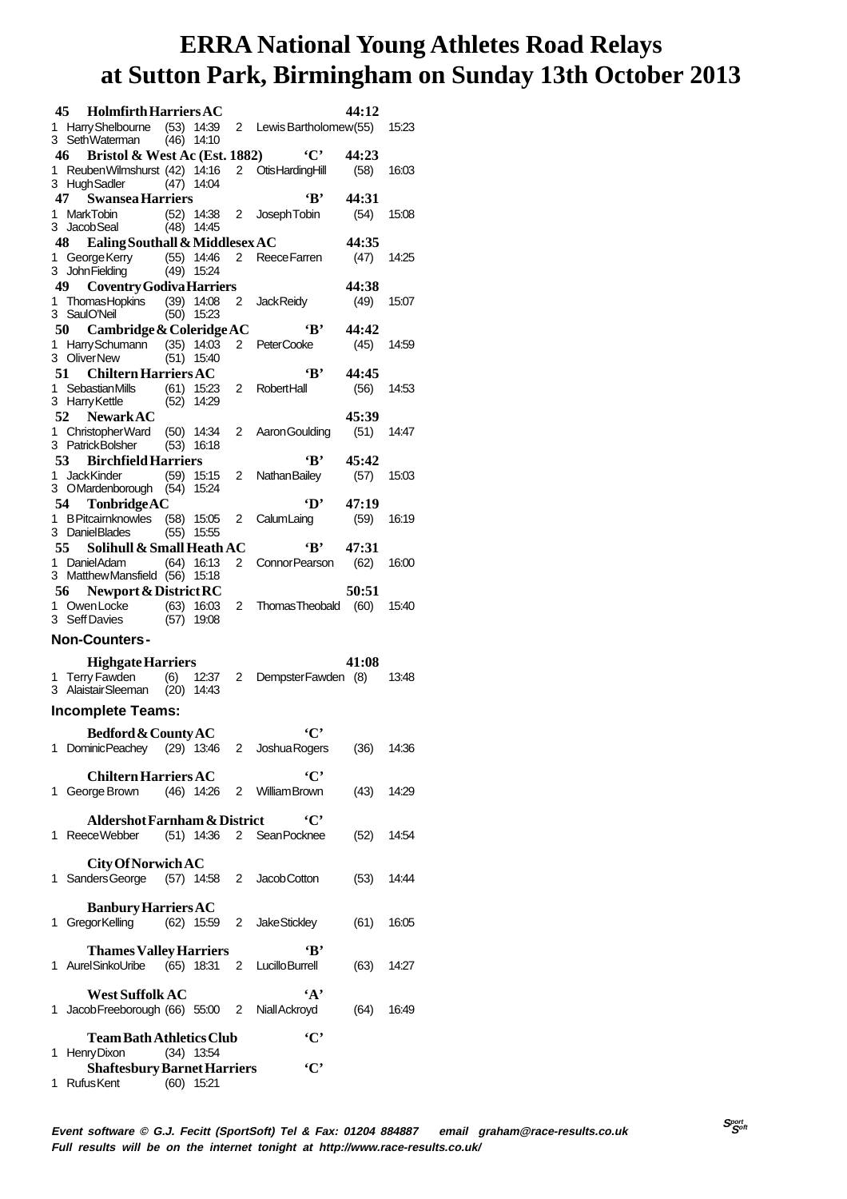|    | 45<br><b>Holmfirth Harriers AC</b>                                 |              |                              |                |                         | 44:12         |       |
|----|--------------------------------------------------------------------|--------------|------------------------------|----------------|-------------------------|---------------|-------|
|    | 1 Harry Shelbourne (53) 14:39                                      |              |                              |                | 2 Lewis Bartholomew(55) |               | 15:23 |
|    | 3 SethWaterman<br>46 Bristol & West Ac (Est. 1882)                 |              | $(46)$ 14:10                 |                | $\cdot$ C'              | 44:23         |       |
| 1. | ReubenWilmshurst (42) 14:16                                        |              |                              |                | 2 Otis Harding Hill     | (58)          | 16:03 |
|    | 3 HughSadler                                                       | (47)         | 14:04                        |                |                         |               |       |
| 1. | 47<br><b>Swansea Harriers</b><br><b>MarkTobin</b>                  |              |                              | $\overline{2}$ | $\mathbf{R}$            | 44:31         |       |
| 3  | Jacob Seal                                                         |              | $(52)$ 14:38<br>$(48)$ 14:45 |                | Joseph Tobin            | (54)          | 15:08 |
|    | 48<br>Ealing Southall & Middlesex AC                               |              |                              |                |                         | 44:35         |       |
| 1. | George Kerry                                                       |              | $(55)$ 14:46                 | 2              | <b>ReeceFarren</b>      | (47)          | 14:25 |
|    | 3 John Fielding<br>49 —<br><b>Coventry Godiva Harriers</b>         | (49)         | 15:24                        |                |                         | 44:38         |       |
|    | 1 ThomasHopkins                                                    |              | $(39)$ 14:08                 | 2              | <b>JackReidy</b>        | (49)          | 15:07 |
|    | 3 SaulO'Neil                                                       |              | $(50)$ 15:23                 |                |                         |               |       |
|    | 50<br>Cambridge & Coleridge AC                                     |              |                              |                | $\cdot_{\mathbf{B}}$    | 44:42         |       |
| 1  | Harry Schumann<br>3 OliverNew                                      | (51)         | $(35)$ 14:03<br>15:40        | 2              | <b>PeterCooke</b>       | (45)          | 14:59 |
|    | 51<br><b>Chiltern Harriers AC</b>                                  |              |                              |                | 'В'                     | 44:45         |       |
| 1. | Sebastian Mills                                                    |              | $(61)$ 15:23                 | 2              | <b>RobertHall</b>       | (56)          | 14:53 |
|    | 3 Harry Kettle                                                     |              | $(52)$ 14:29                 |                |                         |               |       |
|    | 52<br><b>NewarkAC</b>                                              |              |                              |                |                         | 45:39         |       |
| 1. | Christopher Ward<br>3 PatrickBolsher                               | (50)<br>(53) | 14:34<br>16:18               | 2              | Aaron Goulding          | (51)          | 14:47 |
|    | 53 Birchfield Harriers                                             |              |                              |                | $\mathbf{B}$            | 45:42         |       |
| 1. | <b>JackKinder</b>                                                  |              | $(59)$ 15:15                 | 2              | Nathan Bailey           | (57)          | 15:03 |
|    | 3 OMardenborough                                                   | (54)         | 15:24                        |                |                         |               |       |
| 1. | TonbridgeAC<br>54 -<br><b>B Pitcairnknowles</b>                    | (58)         | 15:05                        | 2              | 'D'<br>CalumLaing       | 47:19<br>(59) | 16:19 |
|    | 3 DanielBlades                                                     | (55)         | 15:55                        |                |                         |               |       |
|    | 55 —<br>Solihull & Small Heath AC                                  |              |                              |                | ٠R,                     | 47:31         |       |
|    | 1 DanielAdam                                                       |              | $(64)$ 16:13                 | $\overline{2}$ | Connor Pearson          | (62)          | 16:00 |
|    | 3 Matthew Mansfield (56)<br>56 -                                   |              | 15:18                        |                |                         | 50:51         |       |
| 1. | Newport & District RC<br>Owen Locke                                |              | $(63)$ 16:03                 | 2              | <b>ThomasTheobald</b>   | (60)          | 15:40 |
|    | 3 Seff Davies                                                      | (57)         | 19:08                        |                |                         |               |       |
|    | <b>Non-Counters-</b>                                               |              |                              |                |                         |               |       |
|    | <b>Highgate Harriers</b>                                           |              |                              |                |                         | 41:08         |       |
|    | 1 Terry Fawden                                                     | (6)          | 12:37                        | 2              | DempsterFawden (8)      |               | 13:48 |
|    | 3 AlaistairSleeman                                                 |              |                              |                |                         |               |       |
|    |                                                                    | $(20)$ 14:43 |                              |                |                         |               |       |
|    | <b>Incomplete Teams:</b>                                           |              |                              |                |                         |               |       |
|    |                                                                    |              |                              |                | $\cdot$ $\mathbf{C}$    |               |       |
|    | Bedford & County AC<br>1 DominicPeachey (29) 13:46 2 Joshua Rogers |              |                              |                |                         | $(36)$ 14:36  |       |
|    |                                                                    |              |                              |                |                         |               |       |
|    | <b>Chiltern Harriers AC</b>                                        |              |                              |                | $\cdot$ C'              |               |       |
|    | 1 George Brown (46) 14:26 2 William Brown                          |              |                              |                |                         | (43)          | 14:29 |
|    | <b>Aldershot Farnham &amp; District</b>                            |              |                              |                | $\cdot$ C'              |               |       |
|    | 1 ReeceWebber (51) 14:36 2 SeanPocknee                             |              |                              |                |                         | (52)          | 14:54 |
|    |                                                                    |              |                              |                |                         |               |       |
|    | City Of Norwich AC                                                 |              |                              |                |                         |               |       |
|    | 1 Sanders George (57) 14:58 2 Jacob Cotton                         |              |                              |                |                         | (53)          | 14:44 |
|    | <b>Banbury Harriers AC</b>                                         |              |                              |                |                         |               |       |
|    | 1 Gregor Kelling (62) 15:59 2                                      |              |                              |                | Jake Stickley           | (61)          | 16:05 |
|    |                                                                    |              |                              |                | 'R'                     |               |       |
|    | <b>Thames Valley Harriers</b><br>1 AurelSinkoUribe (65) 18:31      |              |                              |                | 2 Lucillo Burrell       | $(63)$ 14:27  |       |
|    |                                                                    |              |                              |                |                         |               |       |
|    | <b>West Suffolk AC</b>                                             |              |                              |                | $4^{\circ}$             |               |       |
|    | 1 Jacob Freeborough (66) 55:00 2 Niall Ackroyd                     |              |                              |                |                         | (64)          | 16:49 |
|    | Team Bath Athletics Club                                           |              |                              |                | $\cdot$ C'              |               |       |
|    | 1 Henry Dixon                                                      |              | $(34)$ 13:54                 |                |                         |               |       |
|    | <b>Shaftesbury Barnet Harriers</b><br>1 RufusKent                  |              | $(60)$ 15:21                 |                | $\cdot$ C'              |               |       |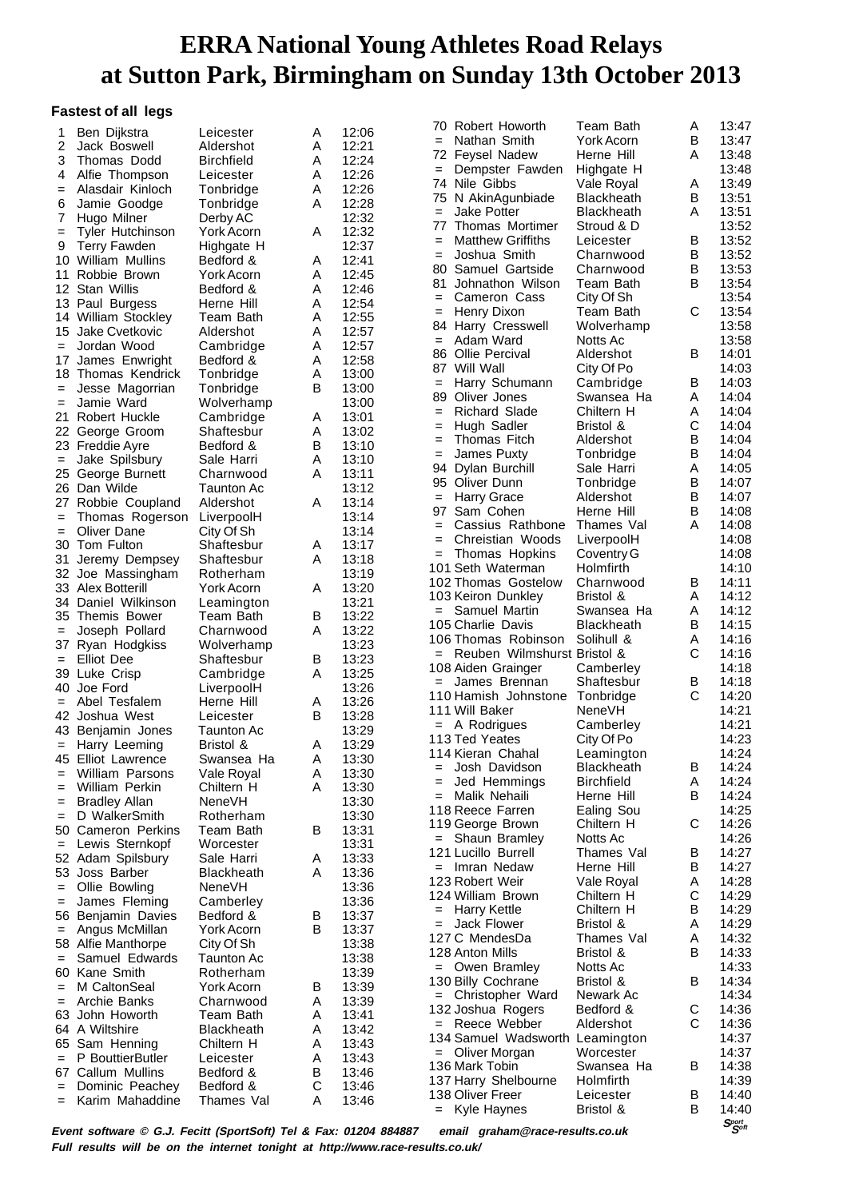#### **Fastest of all legs**

| 1                 | Ben Dijkstra                                                    | Leicester                       | A      | 12:06          | 70         | Robert Howorth                           | Team Bath                       | Α      | 13:47                          |
|-------------------|-----------------------------------------------------------------|---------------------------------|--------|----------------|------------|------------------------------------------|---------------------------------|--------|--------------------------------|
| 2                 | Jack Boswell                                                    | Aldershot                       | Α      | 12:21          | $=$        | Nathan Smith                             | York Acorn                      | B      | 13:47                          |
| 3                 | Thomas Dodd                                                     | <b>Birchfield</b>               | Α      | 12:24          | 72         | <b>Feysel Nadew</b>                      | Herne Hill                      | A      | 13:48                          |
| 4                 | Alfie Thompson                                                  | Leicester                       | Α      | 12:26          | $=$        | Dempster Fawden                          | Highgate H                      |        | 13:48                          |
| $=$               | Alasdair Kinloch                                                | Tonbridge                       | Α      | 12:26          |            | 74 Nile Gibbs                            | Vale Royal                      | A      | 13:49                          |
| 6                 | Jamie Goodge                                                    | Tonbridge                       | Α      | 12:28          | 75         | N AkinAgunbiade                          | <b>Blackheath</b>               | B      | 13:51                          |
| 7                 | Hugo Milner                                                     | Derby AC                        |        | 12:32          | $=$        | <b>Jake Potter</b>                       | Blackheath                      | A      | 13:51                          |
| $=$               | <b>Tyler Hutchinson</b>                                         | York Acorn                      | Α      | 12:32          | 77         | Thomas Mortimer                          | Stroud & D                      |        | 13:52                          |
| 9                 | <b>Terry Fawden</b>                                             | Highgate H                      |        | 12:37          | $=$        | <b>Matthew Griffiths</b>                 | Leicester                       | B      | 13:52                          |
|                   | 10 William Mullins                                              | Bedford &                       | Α      | 12:41          | $=$        | Joshua Smith                             | Charnwood                       | B      | 13:52                          |
|                   | 11 Robbie Brown                                                 | York Acorn                      | Α      | 12:45          | 80         | Samuel Gartside<br>Johnathon Wilson      | Charnwood                       | B<br>B | 13:53                          |
|                   | 12 Stan Willis                                                  | Bedford &                       | A      | 12:46          | 81         | Cameron Cass                             | Team Bath                       |        | 13:54<br>13:54                 |
|                   | 13 Paul Burgess                                                 | Herne Hill                      | Α      | 12:54          | $=$<br>$=$ | Henry Dixon                              | City Of Sh<br>Team Bath         | C      | 13:54                          |
|                   | 14 William Stockley                                             | Team Bath                       | Α      | 12:55          |            | 84 Harry Cresswell                       | Wolverhamp                      |        | 13:58                          |
|                   | 15 Jake Cvetkovic                                               | Aldershot                       | A      | 12:57          | $=$        | Adam Ward                                | Notts Ac                        |        | 13:58                          |
| $=$               | Jordan Wood                                                     | Cambridge                       | Α      | 12:57          | 86         | Ollie Percival                           | Aldershot                       | B      | 14:01                          |
|                   | 17 James Enwright                                               | Bedford &                       | Α      | 12:58          | 87         | Will Wall                                | City Of Po                      |        | 14:03                          |
|                   | 18 Thomas Kendrick                                              | Tonbridge                       | Α      | 13:00          | $=$        | Harry Schumann                           | Cambridge                       | B      | 14:03                          |
| $=$               | Jesse Magorrian                                                 | Tonbridge                       | в      | 13:00          | 89         | Oliver Jones                             | Swansea Ha                      | A      | 14:04                          |
| $=$               | Jamie Ward                                                      | Wolverhamp                      |        | 13:00          | $=$        | <b>Richard Slade</b>                     | Chiltern H                      | Α      | 14:04                          |
|                   | 21 Robert Huckle                                                | Cambridge<br>Shaftesbur         | Α      | 13:01<br>13:02 | $=$        | Hugh Sadler                              | Bristol &                       | С      | 14:04                          |
|                   | 22 George Groom                                                 | Bedford &                       | Α<br>в | 13:10          | $=$        | Thomas Fitch                             | Aldershot                       | в      | 14:04                          |
| $\qquad \qquad =$ | 23 Freddie Ayre<br>Jake Spilsbury                               | Sale Harri                      | Α      | 13:10          | $=$        | James Puxty                              | Tonbridge                       | в      | 14:04                          |
|                   | 25 George Burnett                                               | Charnwood                       | Α      | 13:11          | 94         | Dylan Burchill                           | Sale Harri                      | Α      | 14:05                          |
|                   | 26 Dan Wilde                                                    | Taunton Ac                      |        | 13:12          |            | 95 Oliver Dunn                           | Tonbridge                       | B      | 14:07                          |
|                   | 27 Robbie Coupland                                              | Aldershot                       | Α      | 13:14          | $=$        | <b>Harry Grace</b>                       | Aldershot                       | B      | 14:07                          |
| $=$               | Thomas Rogerson                                                 | LiverpoolH                      |        | 13:14          | 97         | Sam Cohen                                | Herne Hill                      | B      | 14:08                          |
| $\qquad \qquad =$ | Oliver Dane                                                     | City Of Sh                      |        | 13:14          | $=$        | Cassius Rathbone                         | Thames Val                      | A      | 14:08                          |
|                   | 30 Tom Fulton                                                   | Shaftesbur                      | Α      | 13:17          | $=$        | Chreistian Woods                         | LiverpoolH                      |        | 14:08                          |
| 31                | Jeremy Dempsey                                                  | Shaftesbur                      | Α      | 13:18          | $=$        | Thomas Hopkins                           | Coventry G                      |        | 14:08                          |
|                   | 32 Joe Massingham                                               | Rotherham                       |        | 13:19          |            | 101 Seth Waterman<br>102 Thomas Gostelow | Holmfirth<br>Charnwood          | B      | 14:10<br>14:11                 |
|                   | 33 Alex Botterill                                               | York Acorn                      | A      | 13:20          |            | 103 Keiron Dunkley                       | Bristol &                       | Α      | 14:12                          |
|                   | 34 Daniel Wilkinson                                             | Leamington                      |        | 13:21          |            | = Samuel Martin                          | Swansea Ha                      | Α      | 14:12                          |
|                   | 35 Themis Bower                                                 | Team Bath                       | в      | 13:22          |            | 105 Charlie Davis                        | <b>Blackheath</b>               | B      | 14:15                          |
| $=$               | Joseph Pollard                                                  | Charnwood                       | A      | 13:22          |            | 106 Thomas Robinson                      | Solihull &                      | Α      | 14:16                          |
|                   | 37 Ryan Hodgkiss                                                | Wolverhamp<br>Shaftesbur        | B      | 13:23<br>13:23 |            | = Reuben Wilmshurst Bristol &            |                                 | C      | 14:16                          |
| $\qquad \qquad =$ | Elliot Dee<br>39 Luke Crisp                                     | Cambridge                       | A      | 13:25          |            | 108 Aiden Grainger                       | Camberley                       |        | 14:18                          |
|                   | 40 Joe Ford                                                     | LiverpoolH                      |        | 13:26          | $=$        | James Brennan                            | Shaftesbur                      | B      | 14:18                          |
| $=$               | Abel Tesfalem                                                   | Herne Hill                      | Α      | 13:26          |            | 110 Hamish Johnstone                     | Tonbridge                       | C      | 14:20                          |
|                   | 42 Joshua West                                                  | Leicester                       | в      | 13:28          |            | 111 Will Baker                           | <b>NeneVH</b>                   |        | 14:21                          |
|                   | 43 Benjamin Jones                                               | Taunton Ac                      |        | 13:29          |            | $=$ A Rodrigues                          | Camberley                       |        | 14:21                          |
| $=$               | Harry Leeming                                                   | Bristol &                       | Α      | 13:29          |            | 113 Ted Yeates                           | City Of Po                      |        | 14:23                          |
|                   | 45 Elliot Lawrence                                              | Swansea Ha                      | Α      | 13:30          |            | 114 Kieran Chahal                        | Leamington<br><b>Blackheath</b> | B      | 14:24                          |
| $=$               | William Parsons                                                 | Vale Royal                      | A      | 13:30          | $=$        | Josh Davidson<br>Jed Hemmings            | <b>Birchfield</b>               |        | 14:24<br>14:24                 |
| $\qquad \qquad =$ | William Perkin                                                  | Chiltern H                      | Α      | 13:30          | $=$        | Malik Nehaili                            | Herne Hill                      | Α<br>B | 14:24                          |
| $=$               | <b>Bradley Allan</b>                                            | <b>NeneVH</b>                   |        | 13:30          |            | 118 Reece Farren                         | Ealing Sou                      |        | 14:25                          |
| $=$               | D WalkerSmith                                                   | Rotherham                       |        | 13:30          |            | 119 George Brown                         | Chiltern H                      | С      | 14:26                          |
|                   | 50 Cameron Perkins                                              | Team Bath                       | в      | 13:31          |            | $=$ Shaun Bramley                        | Notts Ac                        |        | 14:26                          |
| $\qquad \qquad =$ | Lewis Sternkopf                                                 | Worcester                       |        | 13:31<br>13:33 |            | 121 Lucillo Burrell                      | Thames Val                      | B      | 14:27                          |
|                   | 52 Adam Spilsbury<br>53 Joss Barber                             | Sale Harri<br><b>Blackheath</b> | A<br>Α | 13:36          |            | $=$ Imran Nedaw                          | Herne Hill                      | B      | 14:27                          |
| $=$               | Ollie Bowling                                                   | <b>NeneVH</b>                   |        | 13:36          |            | 123 Robert Weir                          | Vale Royal                      | A      | 14:28                          |
| $=$               | James Fleming                                                   | Camberley                       |        | 13:36          |            | 124 William Brown                        | Chiltern H                      | С      | 14:29                          |
|                   | 56 Benjamin Davies                                              | Bedford &                       | В      | 13:37          |            | = Harry Kettle                           | Chiltern H                      | B      | 14:29                          |
| $=$               | Angus McMillan                                                  | York Acorn                      | в      | 13:37          | $=$        | Jack Flower                              | Bristol &                       | A      | 14:29                          |
|                   | 58 Alfie Manthorpe                                              | City Of Sh                      |        | 13:38          |            | 127 C MendesDa                           | Thames Val                      | A      | 14:32                          |
| $\qquad \qquad =$ | Samuel Edwards                                                  | Taunton Ac                      |        | 13:38          |            | 128 Anton Mills                          | Bristol &                       | B      | 14:33                          |
|                   | 60 Kane Smith                                                   | Rotherham                       |        | 13:39          |            | $=$ Owen Bramley                         | Notts Ac                        |        | 14:33                          |
| $=$               | M CaltonSeal                                                    | York Acorn                      | в      | 13:39          |            | 130 Billy Cochrane                       | Bristol &                       | B      | 14:34<br>14:34                 |
| $=$               | Archie Banks                                                    | Charnwood                       | Α      | 13:39          |            | = Christopher Ward<br>132 Joshua Rogers  | Newark Ac<br>Bedford &          | C      | 14:36                          |
| 63                | John Howorth                                                    | Team Bath                       | A      | 13:41          |            | = Reece Webber                           | Aldershot                       | C      | 14:36                          |
|                   | 64 A Wiltshire                                                  | <b>Blackheath</b>               | Α      | 13:42          |            | 134 Samuel Wadsworth Leamington          |                                 |        | 14:37                          |
|                   | 65 Sam Henning                                                  | Chiltern H                      | Α      | 13:43          |            | $=$ Oliver Morgan                        | Worcester                       |        | 14:37                          |
|                   | $=$ P BouttierButler<br>67 Callum Mullins                       | Leicester                       | Α<br>B | 13:43<br>13:46 |            | 136 Mark Tobin                           | Swansea Ha                      | B      | 14:38                          |
| $=$               | Dominic Peachey                                                 | Bedford &<br>Bedford &          | C      | 13:46          |            | 137 Harry Shelbourne                     | Holmfirth                       |        | 14:39                          |
| $=$               | Karim Mahaddine                                                 | Thames Val                      | Α      | 13:46          |            | 138 Oliver Freer                         | Leicester                       | B      | 14:40                          |
|                   |                                                                 |                                 |        |                |            | $=$ Kyle Haynes                          | Bristol &                       | B      | 14:40                          |
|                   | Event software © G J Fecitt (SportSoft) Tel & Fax: 01204 884887 |                                 |        |                |            | email arabam@race-results couk           |                                 |        | $S_{\mathcal{S}^{opt}}^{port}$ |

**Event software © G.J. Fecitt (SportSoft) Tel & Fax: 01204 884887 email graham@race-results.co.uk Full results will be on the internet tonight at http://www.race-results.co.uk/**